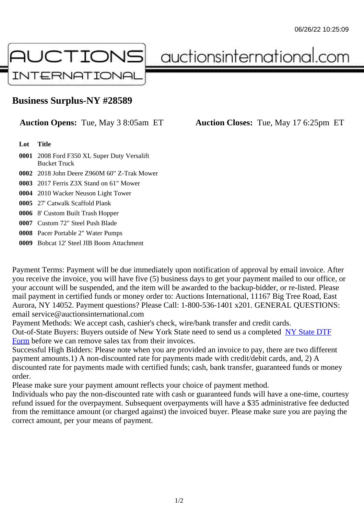## Business Surplus-NY #28589

## Auction Opens: Tue, May 3 8:05am ET Auction Closes: Tue, May 17 6:25pm ET

Lot Title

- 0001 2008 Ford F350 XL Super Duty Versalift Bucket Truck
- 0002 2018 John Deere Z960M 60" Z-Trak Mower
- 0003 2017 Ferris Z3X Stand on 61" Mower
- 0004 2010 Wacker Neuson Light Tower
- 0005 27' Catwalk Scaffold Plank
- 0006 8' Custom Built Trash Hopper
- 0007 Custom 72" Steel Push Blade
- 0008 Pacer Portable 2" Water Pumps
- 0009 Bobcat 12' Steel JIB Boom Attachment

Payment Terms: Payment will be due immediately upon notification of approval by email invoice. After you receive the invoice, you will have five (5) business days to get your payment mailed to our office, or your account will be suspended, and the item will be awarded to the backup-bidder, or re-listed. Please mail payment in certified funds or money order to: Auctions International, 11167 Big Tree Road, East Aurora, NY 14052. Payment questions? Please Call: 1-800-536-1401 x201. GENERAL QUESTIONS: email service@auctionsinternational.com

Payment Methods: We accept cash, cashier's check, wire/bank transfer and credit cards.

Out-of-State Buyers: Buyers outside of New York State need to send us a com blestate DTF Form before we can remove sales tax from their invoices.

Successful High Bidders: Please note when you are provided an invoice to pay, there are two different payment amounts.1) A non-discounted rate for payments made with credit/de[bit cards, and](https://www.auctionsinternational.com/auxiliary/downloads/DTF_Form/dtf_fill_in.pdf), 2) A [disco](https://www.auctionsinternational.com/auxiliary/downloads/DTF_Form/dtf_fill_in.pdf)unted rate for payments made with certified funds; cash, bank transfer, quaranteed funds or mone order.

Please make sure your payment amount reflects your choice of payment method.

Individuals who pay the non-discounted rate with cash or guaranteed funds will have a one-time, courte refund issued for the overpayment. Subsequent overpayments will have a \$35 administrative fee deduc from the remittance amount (or charged against) the invoiced buyer. Please make sure you are paying correct amount, per your means of payment.